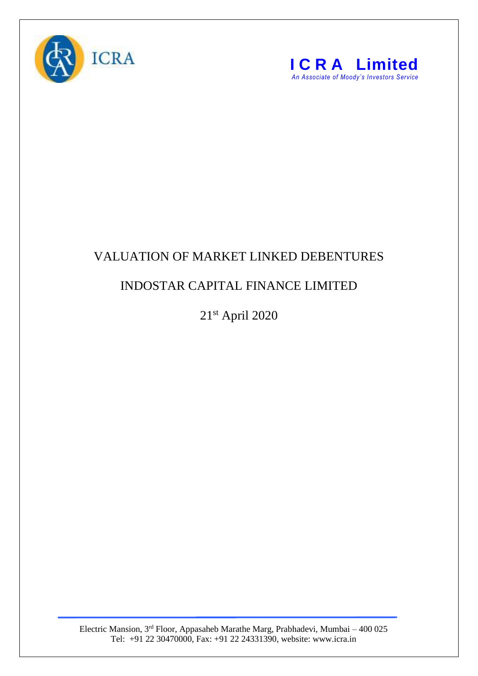



## VALUATION OF MARKET LINKED DEBENTURES

## INDOSTAR CAPITAL FINANCE LIMITED

21st April 2020

Electric Mansion, 3<sup>rd</sup> Floor, Appasaheb Marathe Marg, Prabhadevi, Mumbai – 400 025 Tel: +91 22 30470000, Fax: +91 22 24331390, website: www.icra.in